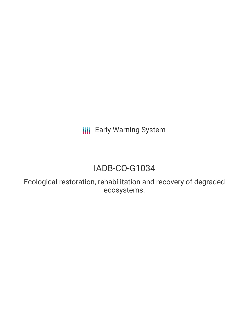**III** Early Warning System

## IADB-CO-G1034

Ecological restoration, rehabilitation and recovery of degraded ecosystems.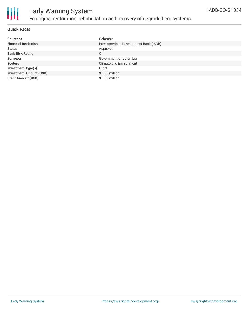

## Early Warning System Ecological restoration, rehabilitation and recovery of degraded ecosystems.

#### **Quick Facts**

| <b>Countries</b>               | Colombia                               |
|--------------------------------|----------------------------------------|
| <b>Financial Institutions</b>  | Inter-American Development Bank (IADB) |
| <b>Status</b>                  | Approved                               |
| <b>Bank Risk Rating</b>        | C                                      |
| <b>Borrower</b>                | Government of Colombia                 |
| <b>Sectors</b>                 | <b>Climate and Environment</b>         |
| <b>Investment Type(s)</b>      | Grant                                  |
| <b>Investment Amount (USD)</b> | $$1.50$ million                        |
| <b>Grant Amount (USD)</b>      | $$1.50$ million                        |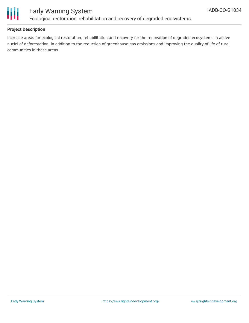

## Early Warning System Ecological restoration, rehabilitation and recovery of degraded ecosystems.

### **Project Description**

Increase areas for ecological restoration, rehabilitation and recovery for the renovation of degraded ecosystems in active nuclei of deforestation, in addition to the reduction of greenhouse gas emissions and improving the quality of life of rural communities in these areas.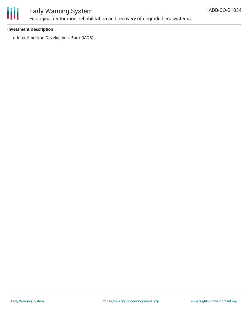# ₩

## Early Warning System Ecological restoration, rehabilitation and recovery of degraded ecosystems.

#### **Investment Description**

• Inter-American Development Bank (IADB)